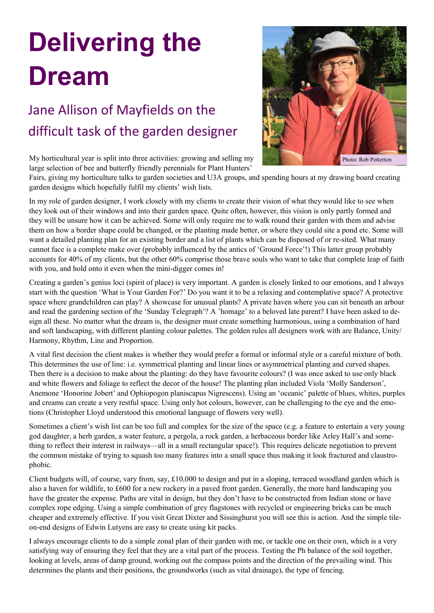## **Delivering the Dream**

## Jane Allison of Mayfields on the difficult task of the garden designer

My horticultural year is split into three activities: growing and selling my large selection of bee and butterfly friendly perennials for Plant Hunters'



Fairs, giving my horticulture talks to garden societies and U3A groups, and spending hours at my drawing board creating garden designs which hopefully fulfil my clients' wish lists.

In my role of garden designer, I work closely with my clients to create their vision of what they would like to see when they look out of their windows and into their garden space. Quite often, however, this vision is only partly formed and they will be unsure how it can be achieved. Some will only require me to walk round their garden with them and advise them on how a border shape could be changed, or the planting made better, or where they could site a pond etc. Some will want a detailed planting plan for an existing border and a list of plants which can be disposed of or re-sited. What many cannot face is a complete make over (probably influenced by the antics of 'Ground Force'!) This latter group probably accounts for 40% of my clients, but the other 60% comprise those brave souls who want to take that complete leap of faith with you, and hold onto it even when the mini-digger comes in!

Creating a garden's genius loci (spirit of place) is very important. A garden is closely linked to our emotions, and I always start with the question 'What is Your Garden For?' Do you want it to be a relaxing and contemplative space? A protective space where grandchildren can play? A showcase for unusual plants? A private haven where you can sit beneath an arbour and read the gardening section of the 'Sunday Telegraph'? A 'homage' to a beloved late parent? I have been asked to design all these. No matter what the dream is, the designer must create something harmonious, using a combination of hard and soft landscaping, with different planting colour palettes. The golden rules all designers work with are Balance, Unity/ Harmony, Rhythm, Line and Proportion.

A vital first decision the client makes is whether they would prefer a formal or informal style or a careful mixture of both. This determines the use of line: i.e. symmetrical planting and linear lines or asymmetrical planting and curved shapes. Then there is a decision to make about the planting: do they have favourite colours? (I was once asked to use only black and white flowers and foliage to reflect the decor of the house! The planting plan included Viola 'Molly Sanderson', Anemone 'Honorine Jobert' and Ophiopogon planiscapus Nigrescens). Using an 'oceanic' palette of blues, whites, purples and creams can create a very restful space. Using only hot colours, however, can be challenging to the eye and the emotions (Christopher Lloyd understood this emotional language of flowers very well).

Sometimes a client's wish list can be too full and complex for the size of the space (e.g. a feature to entertain a very young god daughter, a herb garden, a water feature, a pergola, a rock garden, a herbaceous border like Arley Hall's and something to reflect their interest in railways—all in a small rectangular space!). This requires delicate negotiation to prevent the common mistake of trying to squash too many features into a small space thus making it look fractured and claustrophobic.

Client budgets will, of course, vary from, say, £10,000 to design and put in a sloping, terraced woodland garden which is also a haven for wildlife, to £600 for a new rockery in a paved front garden. Generally, the more hard landscaping you have the greater the expense. Paths are vital in design, but they don't have to be constructed from Indian stone or have complex rope edging. Using a simple combination of grey flagstones with recycled or engineering bricks can be much cheaper and extremely effective. If you visit Great Dixter and Sissinghurst you will see this is action. And the simple tileon-end designs of Edwin Lutyens are easy to create using kit packs.

I always encourage clients to do a simple zonal plan of their garden with me, or tackle one on their own, which is a very satisfying way of ensuring they feel that they are a vital part of the process. Testing the Ph balance of the soil together, looking at levels, areas of damp ground, working out the compass points and the direction of the prevailing wind. This determines the plants and their positions, the groundworks (such as vital drainage), the type of fencing.